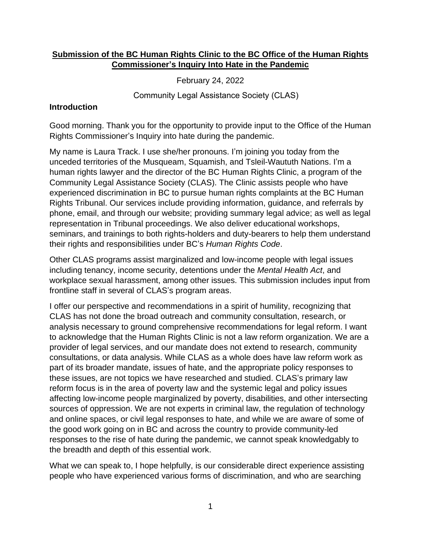## **Submission of the BC Human Rights Clinic to the BC Office of the Human Rights Commissioner's Inquiry Into Hate in the Pandemic**

February 24, 2022

Community Legal Assistance Society (CLAS)

## **Introduction**

Good morning. Thank you for the opportunity to provide input to the Office of the Human Rights Commissioner's Inquiry into hate during the pandemic.

My name is Laura Track. I use she/her pronouns. I'm joining you today from the unceded territories of the Musqueam, Squamish, and Tsleil-Waututh Nations. I'm a human rights lawyer and the director of the BC Human Rights Clinic, a program of the Community Legal Assistance Society (CLAS). The Clinic assists people who have experienced discrimination in BC to pursue human rights complaints at the BC Human Rights Tribunal. Our services include providing information, guidance, and referrals by phone, email, and through our website; providing summary legal advice; as well as legal representation in Tribunal proceedings. We also deliver educational workshops, seminars, and trainings to both rights-holders and duty-bearers to help them understand their rights and responsibilities under BC's *Human Rights Code*.

Other CLAS programs assist marginalized and low-income people with legal issues including tenancy, income security, detentions under the *Mental Health Act*, and workplace sexual harassment, among other issues. This submission includes input from frontline staff in several of CLAS's program areas.

I offer our perspective and recommendations in a spirit of humility, recognizing that CLAS has not done the broad outreach and community consultation, research, or analysis necessary to ground comprehensive recommendations for legal reform. I want to acknowledge that the Human Rights Clinic is not a law reform organization. We are a provider of legal services, and our mandate does not extend to research, community consultations, or data analysis. While CLAS as a whole does have law reform work as part of its broader mandate, issues of hate, and the appropriate policy responses to these issues, are not topics we have researched and studied. CLAS's primary law reform focus is in the area of poverty law and the systemic legal and policy issues affecting low-income people marginalized by poverty, disabilities, and other intersecting sources of oppression. We are not experts in criminal law, the regulation of technology and online spaces, or civil legal responses to hate, and while we are aware of some of the good work going on in BC and across the country to provide community-led responses to the rise of hate during the pandemic, we cannot speak knowledgably to the breadth and depth of this essential work.

What we can speak to, I hope helpfully, is our considerable direct experience assisting people who have experienced various forms of discrimination, and who are searching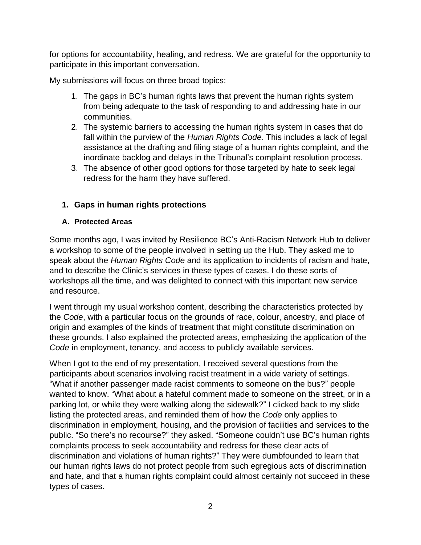for options for accountability, healing, and redress. We are grateful for the opportunity to participate in this important conversation.

My submissions will focus on three broad topics:

- 1. The gaps in BC's human rights laws that prevent the human rights system from being adequate to the task of responding to and addressing hate in our communities.
- 2. The systemic barriers to accessing the human rights system in cases that do fall within the purview of the *Human Rights Code*. This includes a lack of legal assistance at the drafting and filing stage of a human rights complaint, and the inordinate backlog and delays in the Tribunal's complaint resolution process.
- 3. The absence of other good options for those targeted by hate to seek legal redress for the harm they have suffered.

## **1. Gaps in human rights protections**

#### **A. Protected Areas**

Some months ago, I was invited by Resilience BC's Anti-Racism Network Hub to deliver a workshop to some of the people involved in setting up the Hub. They asked me to speak about the *Human Rights Code* and its application to incidents of racism and hate, and to describe the Clinic's services in these types of cases. I do these sorts of workshops all the time, and was delighted to connect with this important new service and resource.

I went through my usual workshop content, describing the characteristics protected by the *Code*, with a particular focus on the grounds of race, colour, ancestry, and place of origin and examples of the kinds of treatment that might constitute discrimination on these grounds. I also explained the protected areas, emphasizing the application of the *Code* in employment, tenancy, and access to publicly available services.

When I got to the end of my presentation, I received several questions from the participants about scenarios involving racist treatment in a wide variety of settings. "What if another passenger made racist comments to someone on the bus?" people wanted to know. "What about a hateful comment made to someone on the street, or in a parking lot, or while they were walking along the sidewalk?" I clicked back to my slide listing the protected areas, and reminded them of how the *Code* only applies to discrimination in employment, housing, and the provision of facilities and services to the public. "So there's no recourse?" they asked. "Someone couldn't use BC's human rights complaints process to seek accountability and redress for these clear acts of discrimination and violations of human rights?" They were dumbfounded to learn that our human rights laws do not protect people from such egregious acts of discrimination and hate, and that a human rights complaint could almost certainly not succeed in these types of cases.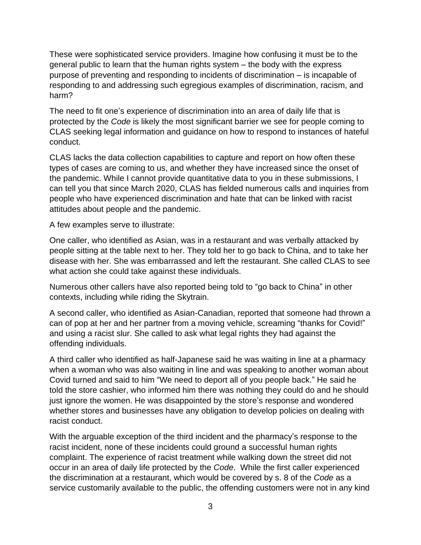These were sophisticated service providers. Imagine how confusing it must be to the general public to learn that the human rights system – the body with the express purpose of preventing and responding to incidents of discrimination – is incapable of responding to and addressing such egregious examples of discrimination, racism, and harm?

The need to fit one's experience of discrimination into an area of daily life that is protected by the *Code* is likely the most significant barrier we see for people coming to CLAS seeking legal information and guidance on how to respond to instances of hateful conduct.

CLAS lacks the data collection capabilities to capture and report on how often these types of cases are coming to us, and whether they have increased since the onset of the pandemic. While I cannot provide quantitative data to you in these submissions, I can tell you that since March 2020, CLAS has fielded numerous calls and inquiries from people who have experienced discrimination and hate that can be linked with racist attitudes about people and the pandemic.

A few examples serve to illustrate:

One caller, who identified as Asian, was in a restaurant and was verbally attacked by people sitting at the table next to her. They told her to go back to China, and to take her disease with her. She was embarrassed and left the restaurant. She called CLAS to see what action she could take against these individuals.

Numerous other callers have also reported being told to "go back to China" in other contexts, including while riding the Skytrain.

A second caller, who identified as Asian-Canadian, reported that someone had thrown a can of pop at her and her partner from a moving vehicle, screaming "thanks for Covid!" and using a racist slur. She called to ask what legal rights they had against the offending individuals.

A third caller who identified as half-Japanese said he was waiting in line at a pharmacy when a woman who was also waiting in line and was speaking to another woman about Covid turned and said to him "We need to deport all of you people back." He said he told the store cashier, who informed him there was nothing they could do and he should just ignore the women. He was disappointed by the store's response and wondered whether stores and businesses have any obligation to develop policies on dealing with racist conduct.

With the arguable exception of the third incident and the pharmacy's response to the racist incident, none of these incidents could ground a successful human rights complaint. The experience of racist treatment while walking down the street did not occur in an area of daily life protected by the *Code*. While the first caller experienced the discrimination at a restaurant, which would be covered by s. 8 of the *Code* as a service customarily available to the public, the offending customers were not in any kind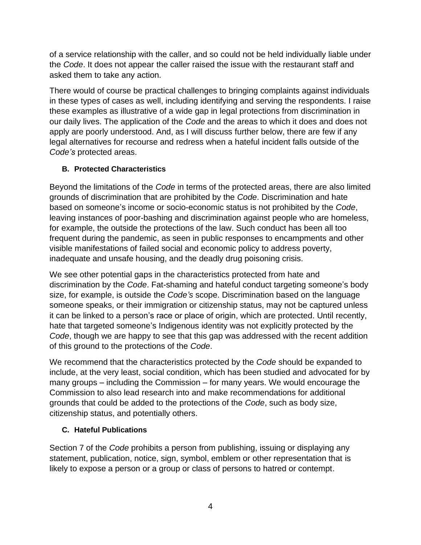of a service relationship with the caller, and so could not be held individually liable under the *Code*. It does not appear the caller raised the issue with the restaurant staff and asked them to take any action.

There would of course be practical challenges to bringing complaints against individuals in these types of cases as well, including identifying and serving the respondents. I raise these examples as illustrative of a wide gap in legal protections from discrimination in our daily lives. The application of the *Code* and the areas to which it does and does not apply are poorly understood. And, as I will discuss further below, there are few if any legal alternatives for recourse and redress when a hateful incident falls outside of the *Code's* protected areas.

## **B. Protected Characteristics**

Beyond the limitations of the *Code* in terms of the protected areas, there are also limited grounds of discrimination that are prohibited by the *Code*. Discrimination and hate based on someone's income or socio-economic status is not prohibited by the *Code*, leaving instances of poor-bashing and discrimination against people who are homeless, for example, the outside the protections of the law. Such conduct has been all too frequent during the pandemic, as seen in public responses to encampments and other visible manifestations of failed social and economic policy to address poverty, inadequate and unsafe housing, and the deadly drug poisoning crisis.

We see other potential gaps in the characteristics protected from hate and discrimination by the *Code*. Fat-shaming and hateful conduct targeting someone's body size, for example, is outside the *Code's* scope. Discrimination based on the language someone speaks, or their immigration or citizenship status, may not be captured unless it can be linked to a person's race or place of origin, which are protected. Until recently, hate that targeted someone's Indigenous identity was not explicitly protected by the *Code*, though we are happy to see that this gap was addressed with the recent addition of this ground to the protections of the *Code*.

We recommend that the characteristics protected by the *Code* should be expanded to include, at the very least, social condition, which has been studied and advocated for by many groups – including the Commission – for many years. We would encourage the Commission to also lead research into and make recommendations for additional grounds that could be added to the protections of the *Code*, such as body size, citizenship status, and potentially others.

# **C. Hateful Publications**

Section 7 of the *Code* prohibits a person from publishing, issuing or displaying any statement, publication, notice, sign, symbol, emblem or other representation that is likely to expose a person or a group or class of persons to hatred or contempt.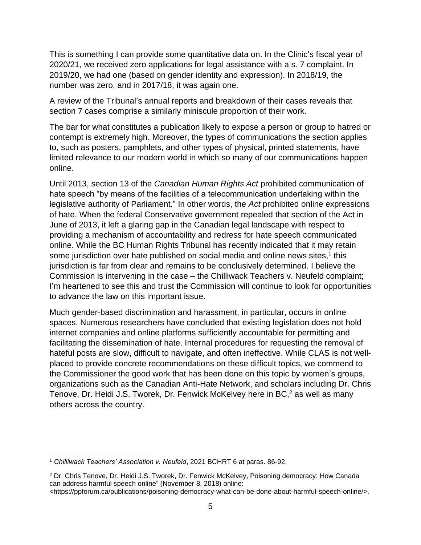This is something I can provide some quantitative data on. In the Clinic's fiscal year of 2020/21, we received zero applications for legal assistance with a s. 7 complaint. In 2019/20, we had one (based on gender identity and expression). In 2018/19, the number was zero, and in 2017/18, it was again one.

A review of the Tribunal's annual reports and breakdown of their cases reveals that section 7 cases comprise a similarly miniscule proportion of their work.

The bar for what constitutes a publication likely to expose a person or group to hatred or contempt is extremely high. Moreover, the types of communications the section applies to, such as posters, pamphlets, and other types of physical, printed statements, have limited relevance to our modern world in which so many of our communications happen online.

Until 2013, section 13 of the *Canadian Human Rights Act* prohibited communication of hate speech "by means of the facilities of a telecommunication undertaking within the legislative authority of Parliament." In other words, the *Act* prohibited online expressions of hate. When the federal Conservative government repealed that section of the Act in June of 2013, it left a glaring gap in the Canadian legal landscape with respect to providing a mechanism of accountability and redress for hate speech communicated online. While the BC Human Rights Tribunal has recently indicated that it may retain some jurisdiction over hate published on social media and online news sites,<sup>1</sup> this jurisdiction is far from clear and remains to be conclusively determined. I believe the Commission is intervening in the case – the Chilliwack Teachers v. Neufeld complaint; I'm heartened to see this and trust the Commission will continue to look for opportunities to advance the law on this important issue.

Much gender-based discrimination and harassment, in particular, occurs in online spaces. Numerous researchers have concluded that existing legislation does not hold internet companies and online platforms sufficiently accountable for permitting and facilitating the dissemination of hate. Internal procedures for requesting the removal of hateful posts are slow, difficult to navigate, and often ineffective. While CLAS is not wellplaced to provide concrete recommendations on these difficult topics, we commend to the Commissioner the good work that has been done on this topic by women's groups, organizations such as the Canadian Anti-Hate Network, and scholars including Dr. Chris Tenove, Dr. Heidi J.S. Tworek, Dr. Fenwick McKelvey here in BC,<sup>2</sup> as well as many others across the country.

<sup>1</sup> *Chilliwack Teachers' Association v. Neufeld*, 2021 BCHRT 6 at paras. 86-92.

<sup>2</sup> Dr. Chris Tenove, Dr. Heidi J.S. Tworek, Dr. Fenwick McKelvey, Poisoning democracy: How Canada can address harmful speech online" (November 8, 2018) online:

<sup>&</sup>lt;https://ppforum.ca/publications/poisoning-democracy-what-can-be-done-about-harmful-speech-online/>.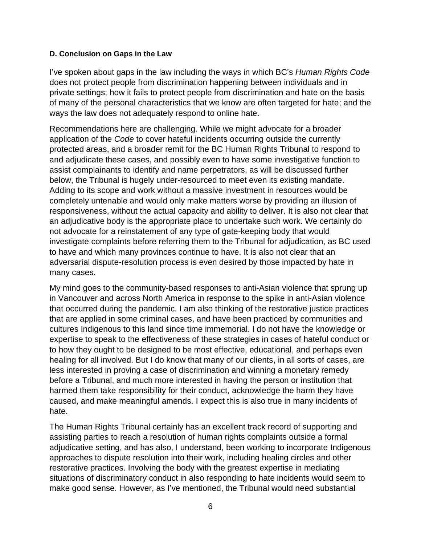#### **D. Conclusion on Gaps in the Law**

I've spoken about gaps in the law including the ways in which BC's *Human Rights Code* does not protect people from discrimination happening between individuals and in private settings; how it fails to protect people from discrimination and hate on the basis of many of the personal characteristics that we know are often targeted for hate; and the ways the law does not adequately respond to online hate.

Recommendations here are challenging. While we might advocate for a broader application of the *Code* to cover hateful incidents occurring outside the currently protected areas, and a broader remit for the BC Human Rights Tribunal to respond to and adjudicate these cases, and possibly even to have some investigative function to assist complainants to identify and name perpetrators, as will be discussed further below, the Tribunal is hugely under-resourced to meet even its existing mandate. Adding to its scope and work without a massive investment in resources would be completely untenable and would only make matters worse by providing an illusion of responsiveness, without the actual capacity and ability to deliver. It is also not clear that an adjudicative body is the appropriate place to undertake such work. We certainly do not advocate for a reinstatement of any type of gate-keeping body that would investigate complaints before referring them to the Tribunal for adjudication, as BC used to have and which many provinces continue to have. It is also not clear that an adversarial dispute-resolution process is even desired by those impacted by hate in many cases.

My mind goes to the community-based responses to anti-Asian violence that sprung up in Vancouver and across North America in response to the spike in anti-Asian violence that occurred during the pandemic. I am also thinking of the restorative justice practices that are applied in some criminal cases, and have been practiced by communities and cultures Indigenous to this land since time immemorial. I do not have the knowledge or expertise to speak to the effectiveness of these strategies in cases of hateful conduct or to how they ought to be designed to be most effective, educational, and perhaps even healing for all involved. But I do know that many of our clients, in all sorts of cases, are less interested in proving a case of discrimination and winning a monetary remedy before a Tribunal, and much more interested in having the person or institution that harmed them take responsibility for their conduct, acknowledge the harm they have caused, and make meaningful amends. I expect this is also true in many incidents of hate.

The Human Rights Tribunal certainly has an excellent track record of supporting and assisting parties to reach a resolution of human rights complaints outside a formal adjudicative setting, and has also, I understand, been working to incorporate Indigenous approaches to dispute resolution into their work, including healing circles and other restorative practices. Involving the body with the greatest expertise in mediating situations of discriminatory conduct in also responding to hate incidents would seem to make good sense. However, as I've mentioned, the Tribunal would need substantial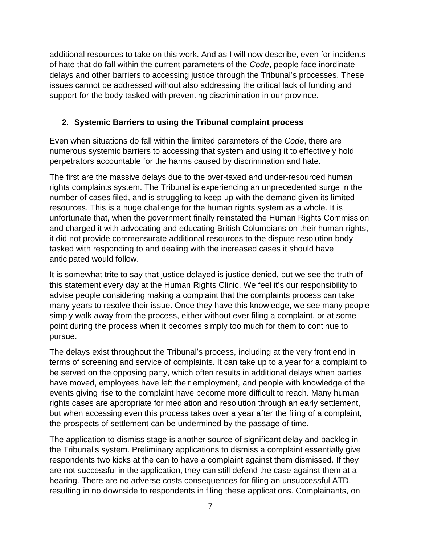additional resources to take on this work. And as I will now describe, even for incidents of hate that do fall within the current parameters of the *Code*, people face inordinate delays and other barriers to accessing justice through the Tribunal's processes. These issues cannot be addressed without also addressing the critical lack of funding and support for the body tasked with preventing discrimination in our province.

# **2. Systemic Barriers to using the Tribunal complaint process**

Even when situations do fall within the limited parameters of the *Code*, there are numerous systemic barriers to accessing that system and using it to effectively hold perpetrators accountable for the harms caused by discrimination and hate.

The first are the massive delays due to the over-taxed and under-resourced human rights complaints system. The Tribunal is experiencing an unprecedented surge in the number of cases filed, and is struggling to keep up with the demand given its limited resources. This is a huge challenge for the human rights system as a whole. It is unfortunate that, when the government finally reinstated the Human Rights Commission and charged it with advocating and educating British Columbians on their human rights, it did not provide commensurate additional resources to the dispute resolution body tasked with responding to and dealing with the increased cases it should have anticipated would follow.

It is somewhat trite to say that justice delayed is justice denied, but we see the truth of this statement every day at the Human Rights Clinic. We feel it's our responsibility to advise people considering making a complaint that the complaints process can take many years to resolve their issue. Once they have this knowledge, we see many people simply walk away from the process, either without ever filing a complaint, or at some point during the process when it becomes simply too much for them to continue to pursue.

The delays exist throughout the Tribunal's process, including at the very front end in terms of screening and service of complaints. It can take up to a year for a complaint to be served on the opposing party, which often results in additional delays when parties have moved, employees have left their employment, and people with knowledge of the events giving rise to the complaint have become more difficult to reach. Many human rights cases are appropriate for mediation and resolution through an early settlement, but when accessing even this process takes over a year after the filing of a complaint, the prospects of settlement can be undermined by the passage of time.

The application to dismiss stage is another source of significant delay and backlog in the Tribunal's system. Preliminary applications to dismiss a complaint essentially give respondents two kicks at the can to have a complaint against them dismissed. If they are not successful in the application, they can still defend the case against them at a hearing. There are no adverse costs consequences for filing an unsuccessful ATD, resulting in no downside to respondents in filing these applications. Complainants, on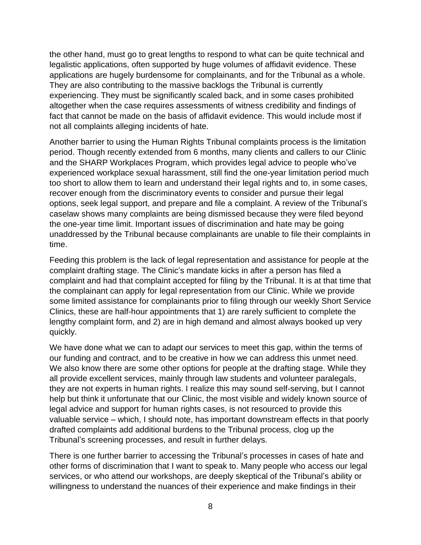the other hand, must go to great lengths to respond to what can be quite technical and legalistic applications, often supported by huge volumes of affidavit evidence. These applications are hugely burdensome for complainants, and for the Tribunal as a whole. They are also contributing to the massive backlogs the Tribunal is currently experiencing. They must be significantly scaled back, and in some cases prohibited altogether when the case requires assessments of witness credibility and findings of fact that cannot be made on the basis of affidavit evidence. This would include most if not all complaints alleging incidents of hate.

Another barrier to using the Human Rights Tribunal complaints process is the limitation period. Though recently extended from 6 months, many clients and callers to our Clinic and the SHARP Workplaces Program, which provides legal advice to people who've experienced workplace sexual harassment, still find the one-year limitation period much too short to allow them to learn and understand their legal rights and to, in some cases, recover enough from the discriminatory events to consider and pursue their legal options, seek legal support, and prepare and file a complaint. A review of the Tribunal's caselaw shows many complaints are being dismissed because they were filed beyond the one-year time limit. Important issues of discrimination and hate may be going unaddressed by the Tribunal because complainants are unable to file their complaints in time.

Feeding this problem is the lack of legal representation and assistance for people at the complaint drafting stage. The Clinic's mandate kicks in after a person has filed a complaint and had that complaint accepted for filing by the Tribunal. It is at that time that the complainant can apply for legal representation from our Clinic. While we provide some limited assistance for complainants prior to filing through our weekly Short Service Clinics, these are half-hour appointments that 1) are rarely sufficient to complete the lengthy complaint form, and 2) are in high demand and almost always booked up very quickly.

We have done what we can to adapt our services to meet this gap, within the terms of our funding and contract, and to be creative in how we can address this unmet need. We also know there are some other options for people at the drafting stage. While they all provide excellent services, mainly through law students and volunteer paralegals, they are not experts in human rights. I realize this may sound self-serving, but I cannot help but think it unfortunate that our Clinic, the most visible and widely known source of legal advice and support for human rights cases, is not resourced to provide this valuable service – which, I should note, has important downstream effects in that poorly drafted complaints add additional burdens to the Tribunal process, clog up the Tribunal's screening processes, and result in further delays.

There is one further barrier to accessing the Tribunal's processes in cases of hate and other forms of discrimination that I want to speak to. Many people who access our legal services, or who attend our workshops, are deeply skeptical of the Tribunal's ability or willingness to understand the nuances of their experience and make findings in their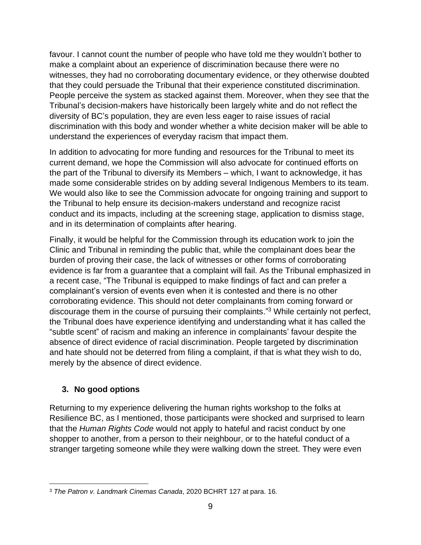favour. I cannot count the number of people who have told me they wouldn't bother to make a complaint about an experience of discrimination because there were no witnesses, they had no corroborating documentary evidence, or they otherwise doubted that they could persuade the Tribunal that their experience constituted discrimination. People perceive the system as stacked against them. Moreover, when they see that the Tribunal's decision-makers have historically been largely white and do not reflect the diversity of BC's population, they are even less eager to raise issues of racial discrimination with this body and wonder whether a white decision maker will be able to understand the experiences of everyday racism that impact them.

In addition to advocating for more funding and resources for the Tribunal to meet its current demand, we hope the Commission will also advocate for continued efforts on the part of the Tribunal to diversify its Members – which, I want to acknowledge, it has made some considerable strides on by adding several Indigenous Members to its team. We would also like to see the Commission advocate for ongoing training and support to the Tribunal to help ensure its decision-makers understand and recognize racist conduct and its impacts, including at the screening stage, application to dismiss stage, and in its determination of complaints after hearing.

Finally, it would be helpful for the Commission through its education work to join the Clinic and Tribunal in reminding the public that, while the complainant does bear the burden of proving their case, the lack of witnesses or other forms of corroborating evidence is far from a guarantee that a complaint will fail. As the Tribunal emphasized in a recent case, "The Tribunal is equipped to make findings of fact and can prefer a complainant's version of events even when it is contested and there is no other corroborating evidence. This should not deter complainants from coming forward or discourage them in the course of pursuing their complaints." <sup>3</sup> While certainly not perfect, the Tribunal does have experience identifying and understanding what it has called the "subtle scent" of racism and making an inference in complainants' favour despite the absence of direct evidence of racial discrimination. People targeted by discrimination and hate should not be deterred from filing a complaint, if that is what they wish to do, merely by the absence of direct evidence.

# **3. No good options**

Returning to my experience delivering the human rights workshop to the folks at Resilience BC, as I mentioned, those participants were shocked and surprised to learn that the *Human Rights Code* would not apply to hateful and racist conduct by one shopper to another, from a person to their neighbour, or to the hateful conduct of a stranger targeting someone while they were walking down the street. They were even

<sup>3</sup> *The Patron v. Landmark Cinemas Canada*, 2020 BCHRT 127 at para. 16.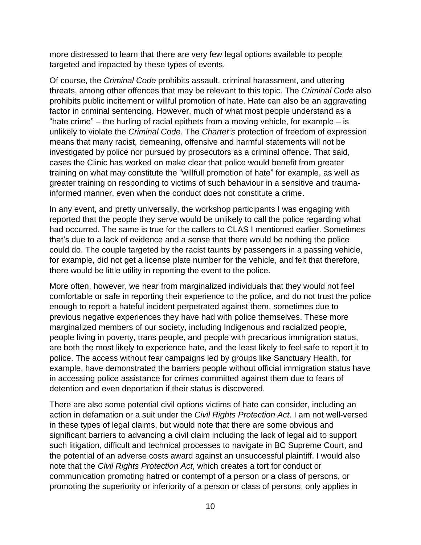more distressed to learn that there are very few legal options available to people targeted and impacted by these types of events.

Of course, the *Criminal Code* prohibits assault, criminal harassment, and uttering threats, among other offences that may be relevant to this topic. The *Criminal Code* also prohibits public incitement or willful promotion of hate. Hate can also be an aggravating factor in criminal sentencing. However, much of what most people understand as a "hate crime" – the hurling of racial epithets from a moving vehicle, for example – is unlikely to violate the *Criminal Code*. The *Charter's* protection of freedom of expression means that many racist, demeaning, offensive and harmful statements will not be investigated by police nor pursued by prosecutors as a criminal offence. That said, cases the Clinic has worked on make clear that police would benefit from greater training on what may constitute the "willfull promotion of hate" for example, as well as greater training on responding to victims of such behaviour in a sensitive and traumainformed manner, even when the conduct does not constitute a crime.

In any event, and pretty universally, the workshop participants I was engaging with reported that the people they serve would be unlikely to call the police regarding what had occurred. The same is true for the callers to CLAS I mentioned earlier. Sometimes that's due to a lack of evidence and a sense that there would be nothing the police could do. The couple targeted by the racist taunts by passengers in a passing vehicle, for example, did not get a license plate number for the vehicle, and felt that therefore, there would be little utility in reporting the event to the police.

More often, however, we hear from marginalized individuals that they would not feel comfortable or safe in reporting their experience to the police, and do not trust the police enough to report a hateful incident perpetrated against them, sometimes due to previous negative experiences they have had with police themselves. These more marginalized members of our society, including Indigenous and racialized people, people living in poverty, trans people, and people with precarious immigration status, are both the most likely to experience hate, and the least likely to feel safe to report it to police. The access without fear campaigns led by groups like Sanctuary Health, for example, have demonstrated the barriers people without official immigration status have in accessing police assistance for crimes committed against them due to fears of detention and even deportation if their status is discovered.

There are also some potential civil options victims of hate can consider, including an action in defamation or a suit under the *Civil Rights Protection Act*. I am not well-versed in these types of legal claims, but would note that there are some obvious and significant barriers to advancing a civil claim including the lack of legal aid to support such litigation, difficult and technical processes to navigate in BC Supreme Court, and the potential of an adverse costs award against an unsuccessful plaintiff. I would also note that the *Civil Rights Protection Act*, which creates a tort for conduct or communication promoting hatred or contempt of a person or a class of persons, or promoting the superiority or inferiority of a person or class of persons, only applies in